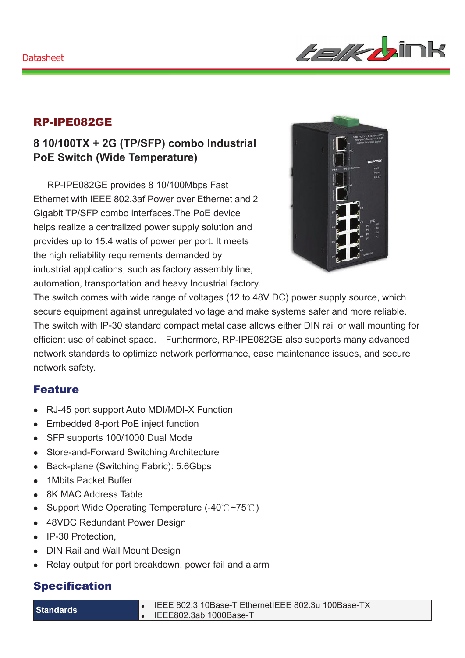#### Datasheet



### RP-IPE082GE

# **8 10/100TX + 2G (TP/SFP) combo Industrial PoE Switch (Wide Temperature)**

RP-IPE082GE provides 8 10/100Mbps Fast Ethernet with IEEE 802.3af Power over Ethernet and 2 Gigabit TP/SFP combo interfaces.The PoE device helps realize a centralized power supply solution and provides up to 15.4 watts of power per port. It meets the high reliability requirements demanded by industrial applications, such as factory assembly line, automation, transportation and heavy Industrial factory.



The switch comes with wide range of voltages (12 to 48V DC) power supply source, which secure equipment against unregulated voltage and make systems safer and more reliable. The switch with IP-30 standard compact metal case allows either DIN rail or wall mounting for efficient use of cabinet space. Furthermore, RP-IPE082GE also supports many advanced network standards to optimize network performance, ease maintenance issues, and secure network safety.

### Feature

- RJ-45 port support Auto MDI/MDI-X Function
- Embedded 8-port PoE inject function
- SFP supports 100/1000 Dual Mode
- Store-and-Forward Switching Architecture
- Back-plane (Switching Fabric): 5.6Gbps
- 1Mbits Packet Buffer
- 8K MAC Address Table
- Support Wide Operating Temperature (-40° $C \sim 75^{\circ}$ C)
- 48VDC Redundant Power Design
- IP-30 Protection.
- DIN Rail and Wall Mount Design
- Relay output for port breakdown, power fail and alarm

## Specification

| <b>Standards</b> |  |  |
|------------------|--|--|
|                  |  |  |
|                  |  |  |